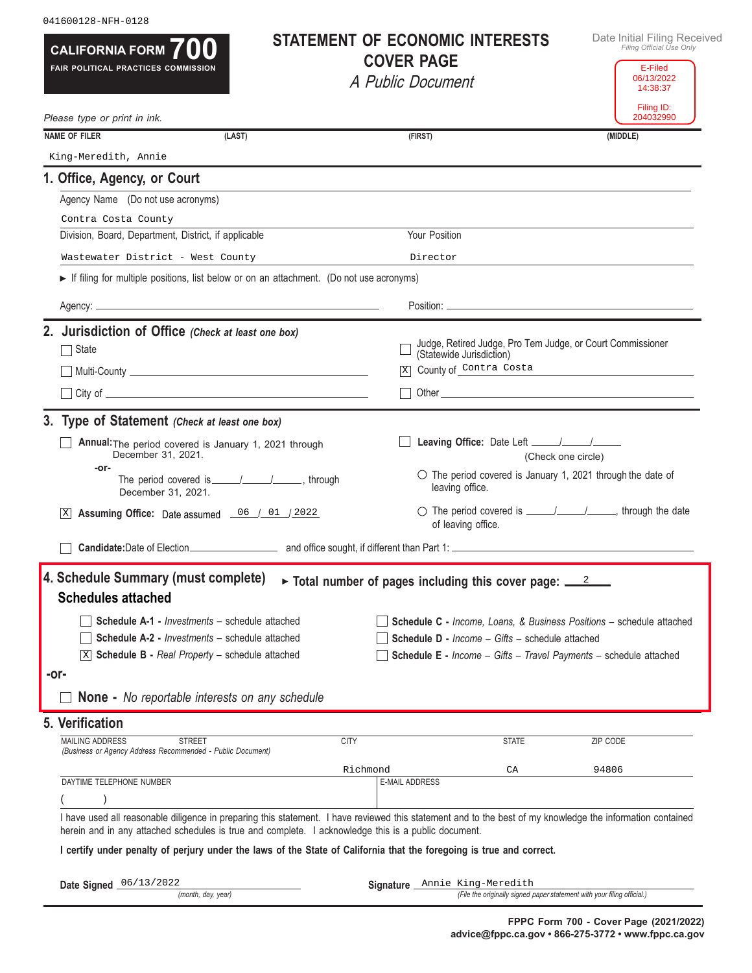| CALIFORNIA FORM $700$<br>FAIR POLITICAL PRACTICES COMMISSION                                                                                                                                                                |             | <b>STATEMENT OF ECONOMIC INTERESTS</b><br><b>COVER PAGE</b>                                              | Date Initial Filing Received<br>Filing Official Use Only<br>E-Filed |
|-----------------------------------------------------------------------------------------------------------------------------------------------------------------------------------------------------------------------------|-------------|----------------------------------------------------------------------------------------------------------|---------------------------------------------------------------------|
|                                                                                                                                                                                                                             |             | A Public Document                                                                                        | 06/13/2022<br>14:38:37<br>Filing ID:                                |
| Please type or print in ink.                                                                                                                                                                                                |             |                                                                                                          | 204032990                                                           |
| <b>NAME OF FILER</b><br>(LAST)                                                                                                                                                                                              |             | (FIRST)                                                                                                  | (MIDDLE)                                                            |
| King-Meredith, Annie                                                                                                                                                                                                        |             |                                                                                                          |                                                                     |
| 1. Office, Agency, or Court                                                                                                                                                                                                 |             |                                                                                                          |                                                                     |
| Agency Name (Do not use acronyms)                                                                                                                                                                                           |             |                                                                                                          |                                                                     |
| Contra Costa County                                                                                                                                                                                                         |             |                                                                                                          |                                                                     |
| Division, Board, Department, District, if applicable                                                                                                                                                                        |             | Your Position                                                                                            |                                                                     |
| Wastewater District - West County                                                                                                                                                                                           |             | Director                                                                                                 |                                                                     |
| If filing for multiple positions, list below or on an attachment. (Do not use acronyms)                                                                                                                                     |             |                                                                                                          |                                                                     |
|                                                                                                                                                                                                                             |             |                                                                                                          |                                                                     |
| 2. Jurisdiction of Office (Check at least one box)<br>$\Box$ State                                                                                                                                                          |             | Judge, Retired Judge, Pro Tem Judge, or Court Commissioner                                               |                                                                     |
|                                                                                                                                                                                                                             |             | (Statewide Jurisdiction)<br>County of Contra Costa                                                       |                                                                     |
|                                                                                                                                                                                                                             |             | X                                                                                                        |                                                                     |
|                                                                                                                                                                                                                             |             |                                                                                                          |                                                                     |
| 3. Type of Statement (Check at least one box)                                                                                                                                                                               |             |                                                                                                          |                                                                     |
| Annual: The period covered is January 1, 2021 through<br>December 31, 2021.                                                                                                                                                 |             | (Check one circle)                                                                                       |                                                                     |
| -or-<br>December 31, 2021.                                                                                                                                                                                                  |             | $\circ$ The period covered is January 1, 2021 through the date of<br>leaving office.                     |                                                                     |
| Assuming Office: Date assumed 06 / 01 / 2022                                                                                                                                                                                |             | ◯ The period covered is ________________________, through the date<br>of leaving office.                 |                                                                     |
|                                                                                                                                                                                                                             |             |                                                                                                          |                                                                     |
| 4. Schedule Summary (must complete) $\rightarrow$ Total number of pages including this cover page: $\frac{2}{\sqrt{2}}$<br><b>Schedules attached</b>                                                                        |             |                                                                                                          |                                                                     |
| <b>Schedule A-1 - Investments - schedule attached</b>                                                                                                                                                                       |             | Schedule C - Income, Loans, & Business Positions - schedule attached                                     |                                                                     |
| <b>Schedule A-2 - Investments - schedule attached</b>                                                                                                                                                                       |             | <b>Schedule D - Income - Gifts - schedule attached</b>                                                   |                                                                     |
| Schedule B - Real Property - schedule attached<br> X                                                                                                                                                                        |             | Schedule E - Income - Gifts - Travel Payments - schedule attached                                        |                                                                     |
| -or-                                                                                                                                                                                                                        |             |                                                                                                          |                                                                     |
| <b>None -</b> No reportable interests on any schedule                                                                                                                                                                       |             |                                                                                                          |                                                                     |
| 5. Verification                                                                                                                                                                                                             |             |                                                                                                          |                                                                     |
| <b>MAILING ADDRESS</b><br><b>STREET</b><br>(Business or Agency Address Recommended - Public Document)                                                                                                                       | <b>CITY</b> | <b>STATE</b>                                                                                             | ZIP CODE                                                            |
|                                                                                                                                                                                                                             | Richmond    | CA                                                                                                       | 94806                                                               |
| DAYTIME TELEPHONE NUMBER                                                                                                                                                                                                    |             | <b>E-MAIL ADDRESS</b>                                                                                    |                                                                     |
| I have used all reasonable diligence in preparing this statement. I have reviewed this statement and to the best of my knowledge the information contained                                                                  |             |                                                                                                          |                                                                     |
| herein and in any attached schedules is true and complete. I acknowledge this is a public document.<br>I certify under penalty of perjury under the laws of the State of California that the foregoing is true and correct. |             |                                                                                                          |                                                                     |
|                                                                                                                                                                                                                             |             |                                                                                                          |                                                                     |
| Date Signed 06/13/2022<br>(month, day, year)                                                                                                                                                                                |             | Signature Annie King-Meredith<br>(File the originally signed paper statement with your filing official.) |                                                                     |

041600128-NFH-0128